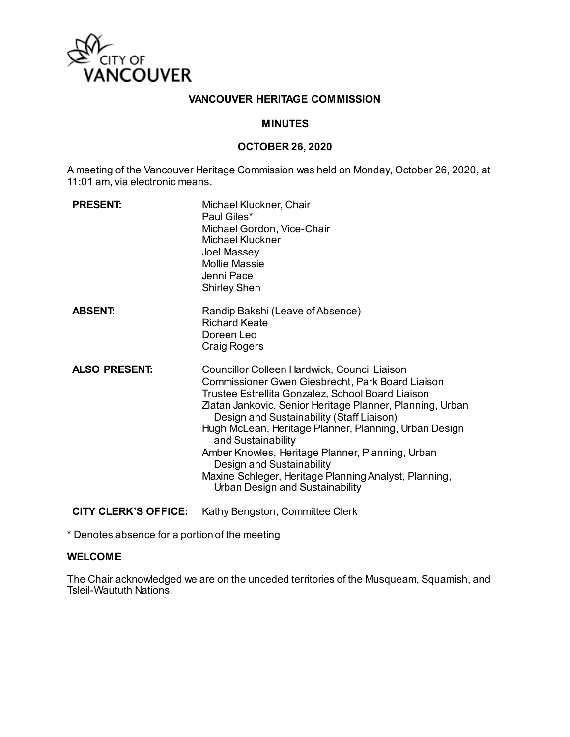

# **VANCOUVER HERITAGE COMMISSION**

### **MINUTES**

### **OCTOBER 26, 2020**

A meeting of the Vancouver Heritage Commission was held on Monday, October 26, 2020, at 11:01 am, via electronic means.

| <b>PRESENT:</b>      | Michael Kluckner, Chair<br>Paul Giles*<br>Michael Gordon, Vice-Chair<br><b>Michael Kluckner</b><br>Joel Massey<br><b>Mollie Massie</b><br>Jenni Pace<br><b>Shirley Shen</b>                                                                                                                                                                                                                                                                                                                                                 |
|----------------------|-----------------------------------------------------------------------------------------------------------------------------------------------------------------------------------------------------------------------------------------------------------------------------------------------------------------------------------------------------------------------------------------------------------------------------------------------------------------------------------------------------------------------------|
| <b>ABSENT:</b>       | Randip Bakshi (Leave of Absence)<br><b>Richard Keate</b><br>Doreen Leo<br><b>Craig Rogers</b>                                                                                                                                                                                                                                                                                                                                                                                                                               |
| <b>ALSO PRESENT:</b> | Councillor Colleen Hardwick, Council Liaison<br>Commissioner Gwen Giesbrecht, Park Board Liaison<br>Trustee Estrellita Gonzalez, School Board Liaison<br>Zlatan Jankovic, Senior Heritage Planner, Planning, Urban<br>Design and Sustainability (Staff Liaison)<br>Hugh McLean, Heritage Planner, Planning, Urban Design<br>and Sustainability<br>Amber Knowles, Heritage Planner, Planning, Urban<br>Design and Sustainability<br>Maxine Schleger, Heritage Planning Analyst, Planning,<br>Urban Design and Sustainability |

**CITY CLERK'S OFFICE:** Kathy Bengston, Committee Clerk

\* Denotes absence for a portion of the meeting

#### **WELCOME**

The Chair acknowledged we are on the unceded territories of the Musqueam, Squamish, and Tsleil-Waututh Nations.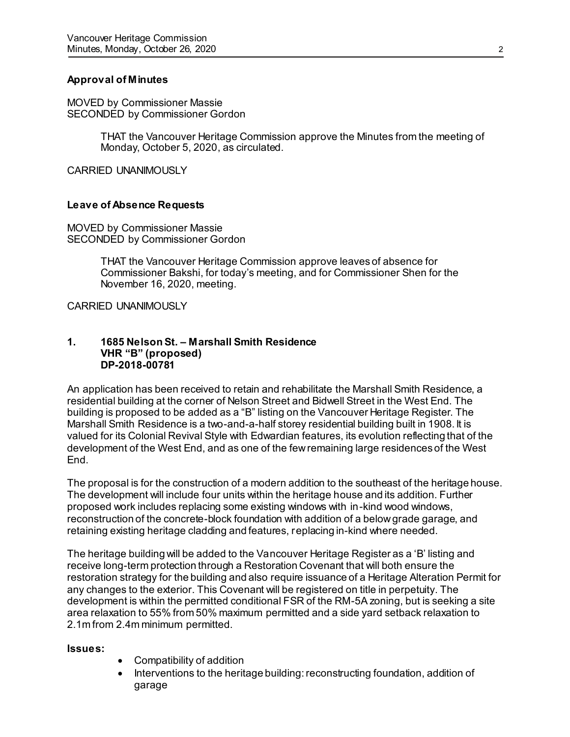## **Approval of Minutes**

MOVED by Commissioner Massie SECONDED by Commissioner Gordon

> THAT the Vancouver Heritage Commission approve the Minutes from the meeting of Monday, October 5, 2020, as circulated.

CARRIED UNANIMOUSLY

### **Leave of Absence Requests**

MOVED by Commissioner Massie SECONDED by Commissioner Gordon

> THAT the Vancouver Heritage Commission approve leaves of absence for Commissioner Bakshi, for today's meeting, and for Commissioner Shen for the November 16, 2020, meeting.

CARRIED UNANIMOUSLY

### **1. 1685 Nelson St. – Marshall Smith Residence VHR "B" (proposed) DP-2018-00781**

An application has been received to retain and rehabilitate the Marshall Smith Residence, a residential building at the corner of Nelson Street and Bidwell Street in the West End. The building is proposed to be added as a "B" listing on the Vancouver Heritage Register. The Marshall Smith Residence is a two-and-a-half storey residential building built in 1908. It is valued for its Colonial Revival Style with Edwardian features, its evolution reflecting that of the development of the West End, and as one of the few remaining large residences of the West End.

The proposal is for the construction of a modern addition to the southeast of the heritage house. The development will include four units within the heritage house and its addition. Further proposed work includes replacing some existing windows with in-kind wood windows, reconstruction of the concrete-block foundation with addition of a below grade garage, and retaining existing heritage cladding and features, replacing in-kind where needed.

The heritage building will be added to the Vancouver Heritage Register as a 'B' listing and receive long-term protection through a Restoration Covenant that will both ensure the restoration strategy for the building and also require issuance of a Heritage Alteration Permit for any changes to the exterior. This Covenant will be registered on title in perpetuity. The development is within the permitted conditional FSR of the RM-5A zoning, but is seeking a site area relaxation to 55% from 50% maximum permitted and a side yard setback relaxation to 2.1m from 2.4m minimum permitted.

#### **Issues:**

- Compatibility of addition
- Interventions to the heritage building: reconstructing foundation, addition of garage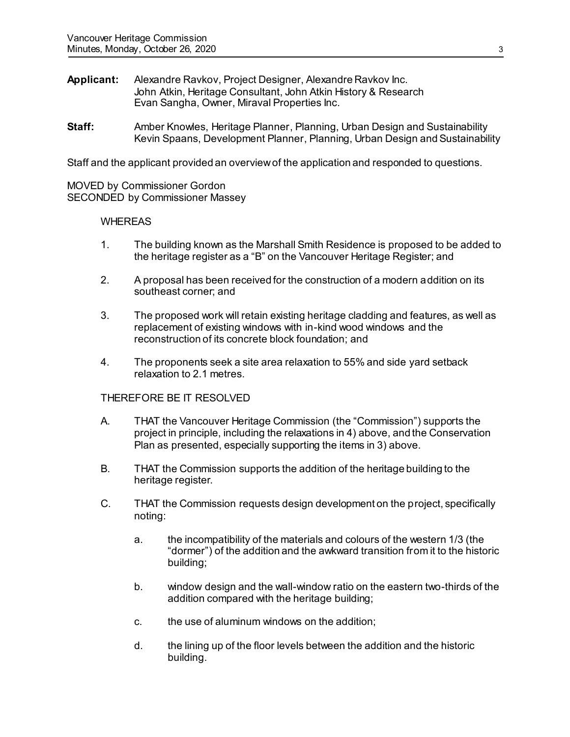- **Applicant:** Alexandre Ravkov, Project Designer, Alexandre Ravkov Inc. John Atkin, Heritage Consultant, John Atkin History & Research Evan Sangha, Owner, Miraval Properties Inc.
- **Staff:** Amber Knowles, Heritage Planner, Planning, Urban Design and Sustainability Kevin Spaans, Development Planner, Planning, Urban Design and Sustainability

Staff and the applicant provided an overview of the application and responded to questions.

MOVED by Commissioner Gordon SECONDED by Commissioner Massey

#### **WHEREAS**

- 1. The building known as the Marshall Smith Residence is proposed to be added to the heritage register as a "B" on the Vancouver Heritage Register; and
- 2. A proposal has been received for the construction of a modern addition on its southeast corner; and
- 3. The proposed work will retain existing heritage cladding and features, as well as replacement of existing windows with in-kind wood windows and the reconstruction of its concrete block foundation; and
- 4. The proponents seek a site area relaxation to 55% and side yard setback relaxation to 2.1 metres.

#### THEREFORE BE IT RESOLVED

- A. THAT the Vancouver Heritage Commission (the "Commission") supports the project in principle, including the relaxations in 4) above, and the Conservation Plan as presented, especially supporting the items in 3) above.
- B. THAT the Commission supports the addition of the heritage building to the heritage register.
- C. THAT the Commission requests design development on the project, specifically noting:
	- a. the incompatibility of the materials and colours of the western 1/3 (the "dormer") of the addition and the awkward transition from it to the historic building;
	- b. window design and the wall-window ratio on the eastern two-thirds of the addition compared with the heritage building;
	- c. the use of aluminum windows on the addition;
	- d. the lining up of the floor levels between the addition and the historic building.